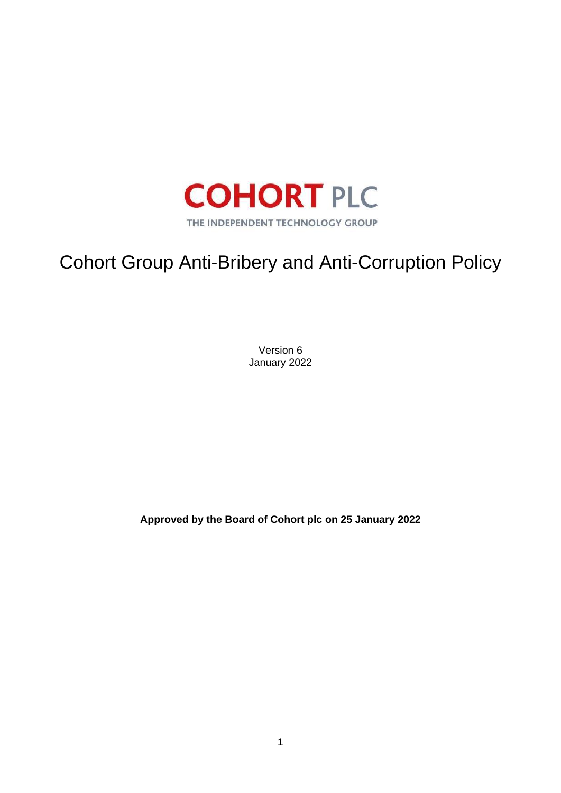

# Cohort Group Anti-Bribery and Anti-Corruption Policy

Version 6 January 2022

**Approved by the Board of Cohort plc on 25 January 2022**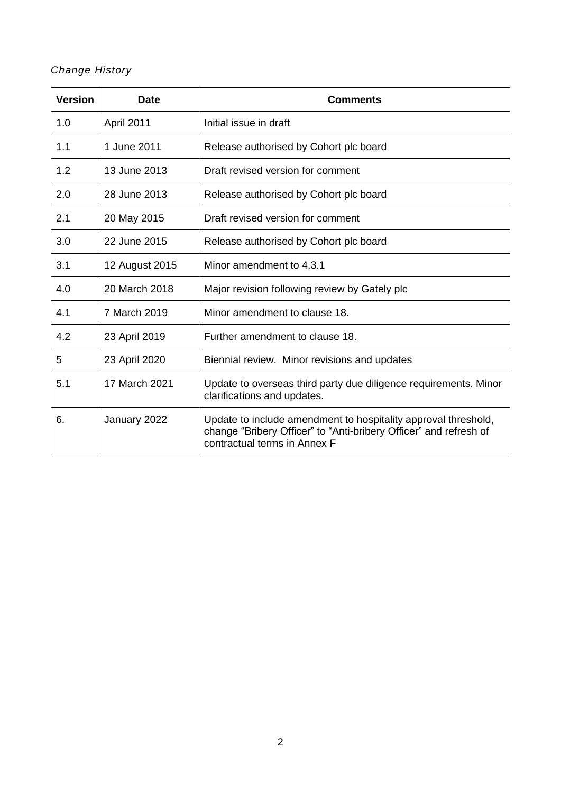# *Change History*

| <b>Version</b> | <b>Date</b>    | <b>Comments</b>                                                                                                                                                     |
|----------------|----------------|---------------------------------------------------------------------------------------------------------------------------------------------------------------------|
| 1.0            | April 2011     | Initial issue in draft                                                                                                                                              |
| 1.1            | 1 June 2011    | Release authorised by Cohort plc board                                                                                                                              |
| 1.2            | 13 June 2013   | Draft revised version for comment                                                                                                                                   |
| 2.0            | 28 June 2013   | Release authorised by Cohort plc board                                                                                                                              |
| 2.1            | 20 May 2015    | Draft revised version for comment                                                                                                                                   |
| 3.0            | 22 June 2015   | Release authorised by Cohort plc board                                                                                                                              |
| 3.1            | 12 August 2015 | Minor amendment to 4.3.1                                                                                                                                            |
| 4.0            | 20 March 2018  | Major revision following review by Gately plc                                                                                                                       |
| 4.1            | 7 March 2019   | Minor amendment to clause 18.                                                                                                                                       |
| 4.2            | 23 April 2019  | Further amendment to clause 18.                                                                                                                                     |
| 5              | 23 April 2020  | Biennial review. Minor revisions and updates                                                                                                                        |
| 5.1            | 17 March 2021  | Update to overseas third party due diligence requirements. Minor<br>clarifications and updates.                                                                     |
| 6.             | January 2022   | Update to include amendment to hospitality approval threshold,<br>change "Bribery Officer" to "Anti-bribery Officer" and refresh of<br>contractual terms in Annex F |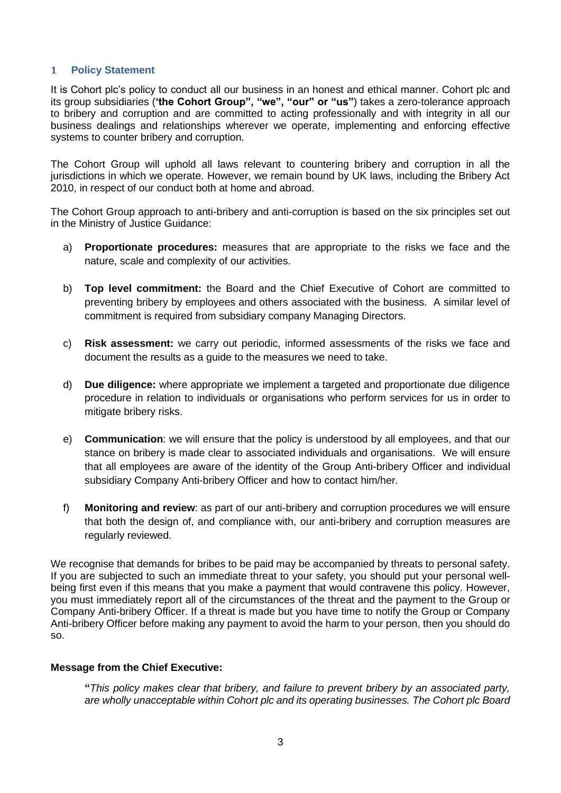#### **1 Policy Statement**

It is Cohort plc's policy to conduct all our business in an honest and ethical manner. Cohort plc and its group subsidiaries (**'the Cohort Group", "we", "our" or "us"**) takes a zero-tolerance approach to bribery and corruption and are committed to acting professionally and with integrity in all our business dealings and relationships wherever we operate, implementing and enforcing effective systems to counter bribery and corruption.

The Cohort Group will uphold all laws relevant to countering bribery and corruption in all the jurisdictions in which we operate. However, we remain bound by UK laws, including the Bribery Act 2010, in respect of our conduct both at home and abroad.

The Cohort Group approach to anti-bribery and anti-corruption is based on the six principles set out in the Ministry of Justice Guidance:

- a) **Proportionate procedures:** measures that are appropriate to the risks we face and the nature, scale and complexity of our activities.
- b) **Top level commitment:** the Board and the Chief Executive of Cohort are committed to preventing bribery by employees and others associated with the business. A similar level of commitment is required from subsidiary company Managing Directors.
- c) **Risk assessment:** we carry out periodic, informed assessments of the risks we face and document the results as a guide to the measures we need to take.
- d) **Due diligence:** where appropriate we implement a targeted and proportionate due diligence procedure in relation to individuals or organisations who perform services for us in order to mitigate bribery risks.
- e) **Communication**: we will ensure that the policy is understood by all employees, and that our stance on bribery is made clear to associated individuals and organisations. We will ensure that all employees are aware of the identity of the Group Anti-bribery Officer and individual subsidiary Company Anti-bribery Officer and how to contact him/her.
- f) **Monitoring and review**: as part of our anti-bribery and corruption procedures we will ensure that both the design of, and compliance with, our anti-bribery and corruption measures are regularly reviewed.

We recognise that demands for bribes to be paid may be accompanied by threats to personal safety. If you are subjected to such an immediate threat to your safety, you should put your personal wellbeing first even if this means that you make a payment that would contravene this policy. However, you must immediately report all of the circumstances of the threat and the payment to the Group or Company Anti-bribery Officer. If a threat is made but you have time to notify the Group or Company Anti-bribery Officer before making any payment to avoid the harm to your person, then you should do so.

#### **Message from the Chief Executive:**

**"***This policy makes clear that bribery, and failure to prevent bribery by an associated party, are wholly unacceptable within Cohort plc and its operating businesses. The Cohort plc Board*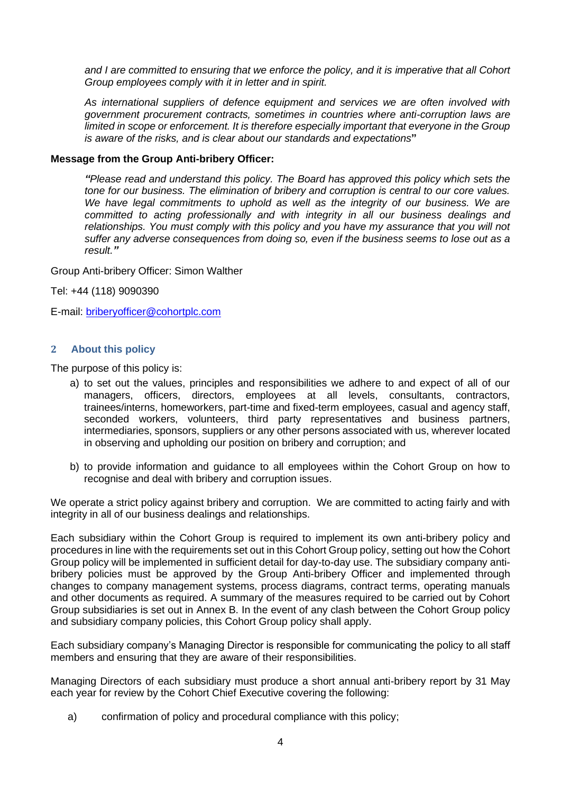*and I are committed to ensuring that we enforce the policy, and it is imperative that all Cohort Group employees comply with it in letter and in spirit.*

*As international suppliers of defence equipment and services we are often involved with government procurement contracts, sometimes in countries where anti-corruption laws are limited in scope or enforcement. It is therefore especially important that everyone in the Group is aware of the risks, and is clear about our standards and expectations***"**

#### **Message from the Group Anti-bribery Officer:**

*"Please read and understand this policy. The Board has approved this policy which sets the tone for our business. The elimination of bribery and corruption is central to our core values.*  We have legal commitments to uphold as well as the integrity of our business. We are *committed to acting professionally and with integrity in all our business dealings and relationships. You must comply with this policy and you have my assurance that you will not suffer any adverse consequences from doing so, even if the business seems to lose out as a result."*

Group Anti-bribery Officer: Simon Walther

Tel: +44 (118) 9090390

E-mail: [briberyofficer@cohortplc.com](mailto:briberyofficer@cohortplc.com)

#### **2 About this policy**

The purpose of this policy is:

- a) to set out the values, principles and responsibilities we adhere to and expect of all of our managers, officers, directors, employees at all levels, consultants, contractors, trainees/interns, homeworkers, part-time and fixed-term employees, casual and agency staff, seconded workers, volunteers, third party representatives and business partners, intermediaries, sponsors, suppliers or any other persons associated with us, wherever located in observing and upholding our position on bribery and corruption; and
- b) to provide information and guidance to all employees within the Cohort Group on how to recognise and deal with bribery and corruption issues.

We operate a strict policy against bribery and corruption. We are committed to acting fairly and with integrity in all of our business dealings and relationships.

Each subsidiary within the Cohort Group is required to implement its own anti-bribery policy and procedures in line with the requirements set out in this Cohort Group policy, setting out how the Cohort Group policy will be implemented in sufficient detail for day-to-day use. The subsidiary company antibribery policies must be approved by the Group Anti-bribery Officer and implemented through changes to company management systems, process diagrams, contract terms, operating manuals and other documents as required. A summary of the measures required to be carried out by Cohort Group subsidiaries is set out in Annex B. In the event of any clash between the Cohort Group policy and subsidiary company policies, this Cohort Group policy shall apply.

Each subsidiary company's Managing Director is responsible for communicating the policy to all staff members and ensuring that they are aware of their responsibilities.

Managing Directors of each subsidiary must produce a short annual anti-bribery report by 31 May each year for review by the Cohort Chief Executive covering the following:

a) confirmation of policy and procedural compliance with this policy;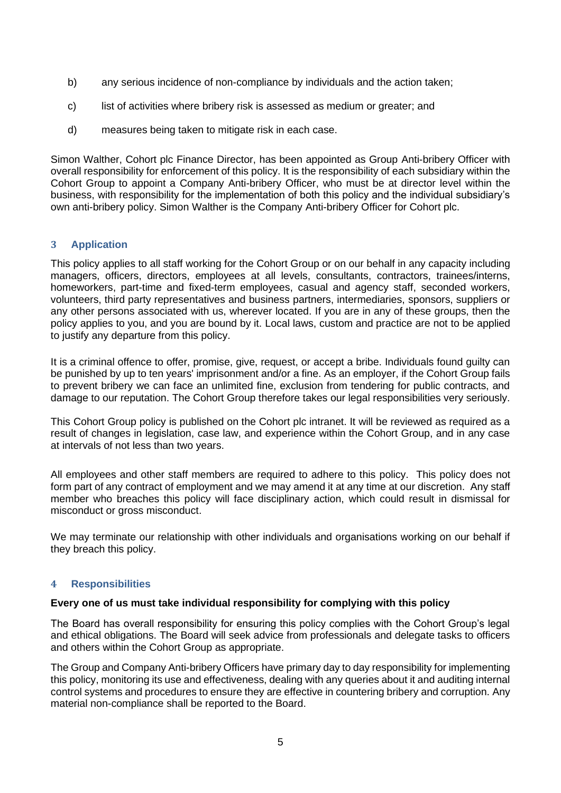- b) any serious incidence of non-compliance by individuals and the action taken;
- c) list of activities where bribery risk is assessed as medium or greater; and
- d) measures being taken to mitigate risk in each case.

Simon Walther, Cohort plc Finance Director, has been appointed as Group Anti-bribery Officer with overall responsibility for enforcement of this policy. It is the responsibility of each subsidiary within the Cohort Group to appoint a Company Anti-bribery Officer, who must be at director level within the business, with responsibility for the implementation of both this policy and the individual subsidiary's own anti-bribery policy. Simon Walther is the Company Anti-bribery Officer for Cohort plc.

#### **3 Application**

This policy applies to all staff working for the Cohort Group or on our behalf in any capacity including managers, officers, directors, employees at all levels, consultants, contractors, trainees/interns, homeworkers, part-time and fixed-term employees, casual and agency staff, seconded workers, volunteers, third party representatives and business partners, intermediaries, sponsors, suppliers or any other persons associated with us, wherever located. If you are in any of these groups, then the policy applies to you, and you are bound by it. Local laws, custom and practice are not to be applied to justify any departure from this policy.

It is a criminal offence to offer, promise, give, request, or accept a bribe. Individuals found guilty can be punished by up to ten years' imprisonment and/or a fine. As an employer, if the Cohort Group fails to prevent bribery we can face an unlimited fine, exclusion from tendering for public contracts, and damage to our reputation. The Cohort Group therefore takes our legal responsibilities very seriously.

This Cohort Group policy is published on the Cohort plc intranet. It will be reviewed as required as a result of changes in legislation, case law, and experience within the Cohort Group, and in any case at intervals of not less than two years.

All employees and other staff members are required to adhere to this policy. This policy does not form part of any contract of employment and we may amend it at any time at our discretion. Any staff member who breaches this policy will face disciplinary action, which could result in dismissal for misconduct or gross misconduct.

We may terminate our relationship with other individuals and organisations working on our behalf if they breach this policy.

#### **4 Responsibilities**

#### **Every one of us must take individual responsibility for complying with this policy**

The Board has overall responsibility for ensuring this policy complies with the Cohort Group's legal and ethical obligations. The Board will seek advice from professionals and delegate tasks to officers and others within the Cohort Group as appropriate.

The Group and Company Anti-bribery Officers have primary day to day responsibility for implementing this policy, monitoring its use and effectiveness, dealing with any queries about it and auditing internal control systems and procedures to ensure they are effective in countering bribery and corruption. Any material non-compliance shall be reported to the Board.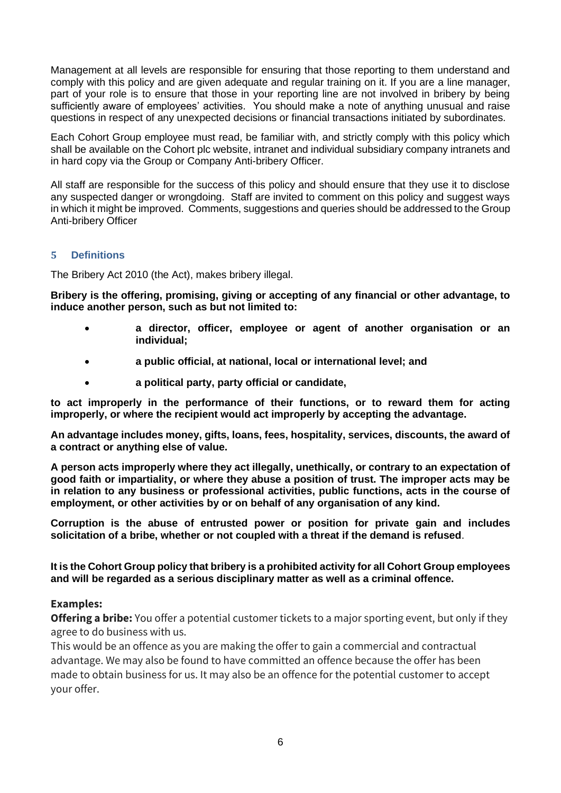Management at all levels are responsible for ensuring that those reporting to them understand and comply with this policy and are given adequate and regular training on it. If you are a line manager, part of your role is to ensure that those in your reporting line are not involved in bribery by being sufficiently aware of employees' activities. You should make a note of anything unusual and raise questions in respect of any unexpected decisions or financial transactions initiated by subordinates.

Each Cohort Group employee must read, be familiar with, and strictly comply with this policy which shall be available on the Cohort plc website, intranet and individual subsidiary company intranets and in hard copy via the Group or Company Anti-bribery Officer.

All staff are responsible for the success of this policy and should ensure that they use it to disclose any suspected danger or wrongdoing. Staff are invited to comment on this policy and suggest ways in which it might be improved. Comments, suggestions and queries should be addressed to the Group Anti-bribery Officer

## **5 Definitions**

The Bribery Act 2010 (the Act), makes bribery illegal.

**Bribery is the offering, promising, giving or accepting of any financial or other advantage, to induce another person, such as but not limited to:**

- **a director, officer, employee or agent of another organisation or an individual;**
- **a public official, at national, local or international level; and**
- **a political party, party official or candidate,**

**to act improperly in the performance of their functions, or to reward them for acting improperly, or where the recipient would act improperly by accepting the advantage.**

**An advantage includes money, gifts, loans, fees, hospitality, services, discounts, the award of a contract or anything else of value.**

**A person acts improperly where they act illegally, unethically, or contrary to an expectation of good faith or impartiality, or where they abuse a position of trust. The improper acts may be in relation to any business or professional activities, public functions, acts in the course of employment, or other activities by or on behalf of any organisation of any kind.**

**Corruption is the abuse of entrusted power or position for private gain and includes solicitation of a bribe, whether or not coupled with a threat if the demand is refused**.

**It is the Cohort Group policy that bribery is a prohibited activity for all Cohort Group employees and will be regarded as a serious disciplinary matter as well as a criminal offence.**

## **Examples:**

**Offering a bribe:** You offer a potential customer tickets to a major sporting event, but only if they agree to do business with us.

This would be an offence as you are making the offer to gain a commercial and contractual advantage. We may also be found to have committed an offence because the offer has been made to obtain business for us. It may also be an offence for the potential customer to accept your offer.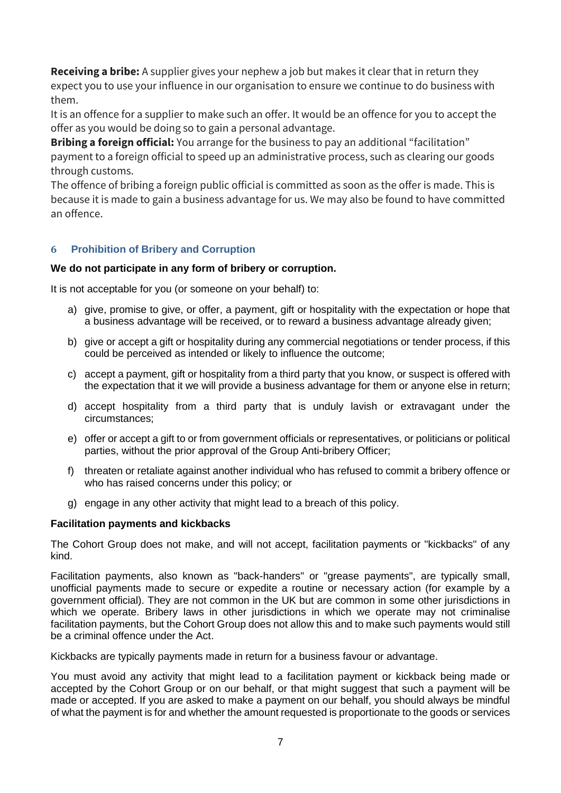**Receiving a bribe:** A supplier gives your nephew a job but makes it clear that in return they expect you to use your influence in our organisation to ensure we continue to do business with them.

It is an offence for a supplier to make such an offer. It would be an offence for you to accept the offer as you would be doing so to gain a personal advantage.

**Bribing a foreign official:** You arrange for the business to pay an additional "facilitation" payment to a foreign official to speed up an administrative process, such as clearing our goods through customs.

The offence of bribing a foreign public official is committed as soon as the offer is made. This is because it is made to gain a business advantage for us. We may also be found to have committed an offence.

## **6 Prohibition of Bribery and Corruption**

#### **We do not participate in any form of bribery or corruption.**

It is not acceptable for you (or someone on your behalf) to:

- a) give, promise to give, or offer, a payment, gift or hospitality with the expectation or hope that a business advantage will be received, or to reward a business advantage already given;
- b) give or accept a gift or hospitality during any commercial negotiations or tender process, if this could be perceived as intended or likely to influence the outcome;
- c) accept a payment, gift or hospitality from a third party that you know, or suspect is offered with the expectation that it we will provide a business advantage for them or anyone else in return;
- d) accept hospitality from a third party that is unduly lavish or extravagant under the circumstances;
- e) offer or accept a gift to or from government officials or representatives, or politicians or political parties, without the prior approval of the Group Anti-bribery Officer;
- f) threaten or retaliate against another individual who has refused to commit a bribery offence or who has raised concerns under this policy; or
- g) engage in any other activity that might lead to a breach of this policy.

#### **Facilitation payments and kickbacks**

The Cohort Group does not make, and will not accept, facilitation payments or "kickbacks" of any kind.

Facilitation payments, also known as "back-handers" or "grease payments", are typically small, unofficial payments made to secure or expedite a routine or necessary action (for example by a government official). They are not common in the UK but are common in some other jurisdictions in which we operate. Bribery laws in other jurisdictions in which we operate may not criminalise facilitation payments, but the Cohort Group does not allow this and to make such payments would still be a criminal offence under the Act.

Kickbacks are typically payments made in return for a business favour or advantage.

You must avoid any activity that might lead to a facilitation payment or kickback being made or accepted by the Cohort Group or on our behalf, or that might suggest that such a payment will be made or accepted. If you are asked to make a payment on our behalf, you should always be mindful of what the payment is for and whether the amount requested is proportionate to the goods or services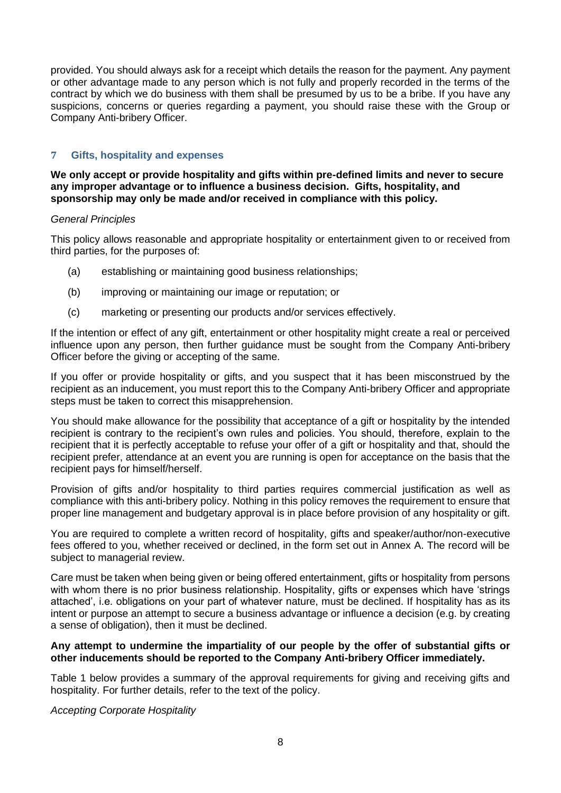provided. You should always ask for a receipt which details the reason for the payment. Any payment or other advantage made to any person which is not fully and properly recorded in the terms of the contract by which we do business with them shall be presumed by us to be a bribe. If you have any suspicions, concerns or queries regarding a payment, you should raise these with the Group or Company Anti-bribery Officer.

### **7 Gifts, hospitality and expenses**

**We only accept or provide hospitality and gifts within pre-defined limits and never to secure any improper advantage or to influence a business decision. Gifts, hospitality, and sponsorship may only be made and/or received in compliance with this policy.**

#### *General Principles*

This policy allows reasonable and appropriate hospitality or entertainment given to or received from third parties, for the purposes of:

- (a) establishing or maintaining good business relationships;
- (b) improving or maintaining our image or reputation; or
- (c) marketing or presenting our products and/or services effectively.

If the intention or effect of any gift, entertainment or other hospitality might create a real or perceived influence upon any person, then further guidance must be sought from the Company Anti-bribery Officer before the giving or accepting of the same.

If you offer or provide hospitality or gifts, and you suspect that it has been misconstrued by the recipient as an inducement, you must report this to the Company Anti-bribery Officer and appropriate steps must be taken to correct this misapprehension.

You should make allowance for the possibility that acceptance of a gift or hospitality by the intended recipient is contrary to the recipient's own rules and policies. You should, therefore, explain to the recipient that it is perfectly acceptable to refuse your offer of a gift or hospitality and that, should the recipient prefer, attendance at an event you are running is open for acceptance on the basis that the recipient pays for himself/herself.

Provision of gifts and/or hospitality to third parties requires commercial justification as well as compliance with this anti-bribery policy. Nothing in this policy removes the requirement to ensure that proper line management and budgetary approval is in place before provision of any hospitality or gift.

You are required to complete a written record of hospitality, gifts and speaker/author/non-executive fees offered to you, whether received or declined, in the form set out in Annex A. The record will be subject to managerial review.

Care must be taken when being given or being offered entertainment, gifts or hospitality from persons with whom there is no prior business relationship. Hospitality, gifts or expenses which have 'strings attached', i.e. obligations on your part of whatever nature, must be declined. If hospitality has as its intent or purpose an attempt to secure a business advantage or influence a decision (e.g. by creating a sense of obligation), then it must be declined.

#### **Any attempt to undermine the impartiality of our people by the offer of substantial gifts or other inducements should be reported to the Company Anti-bribery Officer immediately.**

Table 1 below provides a summary of the approval requirements for giving and receiving gifts and hospitality. For further details, refer to the text of the policy.

*Accepting Corporate Hospitality*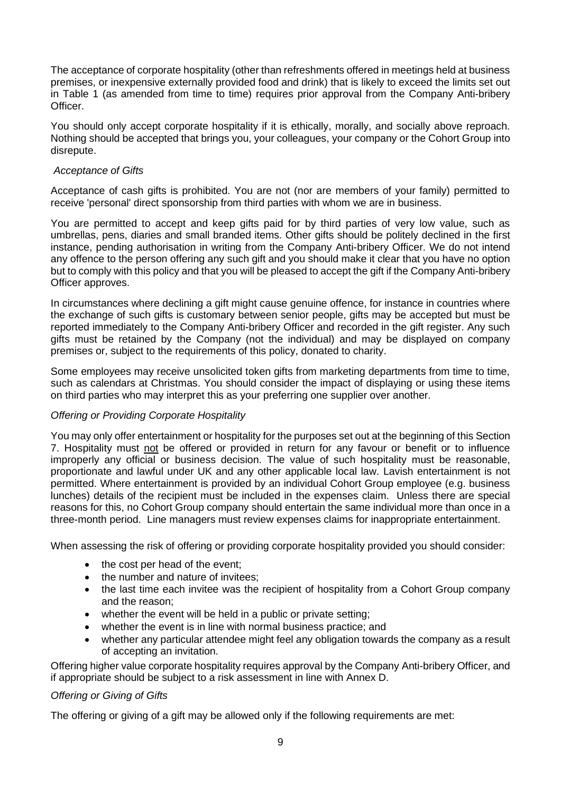The acceptance of corporate hospitality (other than refreshments offered in meetings held at business premises, or inexpensive externally provided food and drink) that is likely to exceed the limits set out in Table 1 (as amended from time to time) requires prior approval from the Company Anti-bribery Officer.

You should only accept corporate hospitality if it is ethically, morally, and socially above reproach. Nothing should be accepted that brings you, your colleagues, your company or the Cohort Group into disrepute.

#### *Acceptance of Gifts*

Acceptance of cash gifts is prohibited. You are not (nor are members of your family) permitted to receive 'personal' direct sponsorship from third parties with whom we are in business.

You are permitted to accept and keep gifts paid for by third parties of very low value, such as umbrellas, pens, diaries and small branded items. Other gifts should be politely declined in the first instance, pending authorisation in writing from the Company Anti-bribery Officer. We do not intend any offence to the person offering any such gift and you should make it clear that you have no option but to comply with this policy and that you will be pleased to accept the gift if the Company Anti-bribery Officer approves.

In circumstances where declining a gift might cause genuine offence, for instance in countries where the exchange of such gifts is customary between senior people, gifts may be accepted but must be reported immediately to the Company Anti-bribery Officer and recorded in the gift register. Any such gifts must be retained by the Company (not the individual) and may be displayed on company premises or, subject to the requirements of this policy, donated to charity.

Some employees may receive unsolicited token gifts from marketing departments from time to time, such as calendars at Christmas. You should consider the impact of displaying or using these items on third parties who may interpret this as your preferring one supplier over another.

## *Offering or Providing Corporate Hospitality*

You may only offer entertainment or hospitality for the purposes set out at the beginning of this Section 7. Hospitality must not be offered or provided in return for any favour or benefit or to influence improperly any official or business decision. The value of such hospitality must be reasonable, proportionate and lawful under UK and any other applicable local law. Lavish entertainment is not permitted. Where entertainment is provided by an individual Cohort Group employee (e.g. business lunches) details of the recipient must be included in the expenses claim. Unless there are special reasons for this, no Cohort Group company should entertain the same individual more than once in a three-month period. Line managers must review expenses claims for inappropriate entertainment.

When assessing the risk of offering or providing corporate hospitality provided you should consider:

- the cost per head of the event;
- the number and nature of invitees:
- the last time each invitee was the recipient of hospitality from a Cohort Group company and the reason;
- whether the event will be held in a public or private setting;
- whether the event is in line with normal business practice; and
- whether any particular attendee might feel any obligation towards the company as a result of accepting an invitation.

Offering higher value corporate hospitality requires approval by the Company Anti-bribery Officer, and if appropriate should be subject to a risk assessment in line with Annex D.

#### *Offering or Giving of Gifts*

The offering or giving of a gift may be allowed only if the following requirements are met: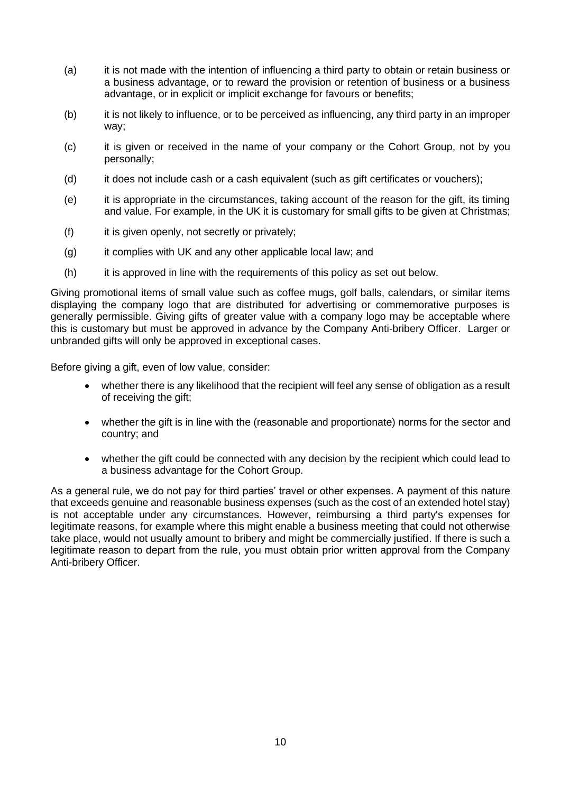- (a) it is not made with the intention of influencing a third party to obtain or retain business or a business advantage, or to reward the provision or retention of business or a business advantage, or in explicit or implicit exchange for favours or benefits;
- (b) it is not likely to influence, or to be perceived as influencing, any third party in an improper way;
- (c) it is given or received in the name of your company or the Cohort Group, not by you personally;
- (d) it does not include cash or a cash equivalent (such as gift certificates or vouchers);
- (e) it is appropriate in the circumstances, taking account of the reason for the gift, its timing and value. For example, in the UK it is customary for small gifts to be given at Christmas;
- (f) it is given openly, not secretly or privately;
- (g) it complies with UK and any other applicable local law; and
- (h) it is approved in line with the requirements of this policy as set out below.

Giving promotional items of small value such as coffee mugs, golf balls, calendars, or similar items displaying the company logo that are distributed for advertising or commemorative purposes is generally permissible. Giving gifts of greater value with a company logo may be acceptable where this is customary but must be approved in advance by the Company Anti-bribery Officer. Larger or unbranded gifts will only be approved in exceptional cases.

Before giving a gift, even of low value, consider:

- whether there is any likelihood that the recipient will feel any sense of obligation as a result of receiving the gift;
- whether the gift is in line with the (reasonable and proportionate) norms for the sector and country; and
- whether the gift could be connected with any decision by the recipient which could lead to a business advantage for the Cohort Group.

As a general rule, we do not pay for third parties' travel or other expenses. A payment of this nature that exceeds genuine and reasonable business expenses (such as the cost of an extended hotel stay) is not acceptable under any circumstances. However, reimbursing a third party's expenses for legitimate reasons, for example where this might enable a business meeting that could not otherwise take place, would not usually amount to bribery and might be commercially justified. If there is such a legitimate reason to depart from the rule, you must obtain prior written approval from the Company Anti-bribery Officer.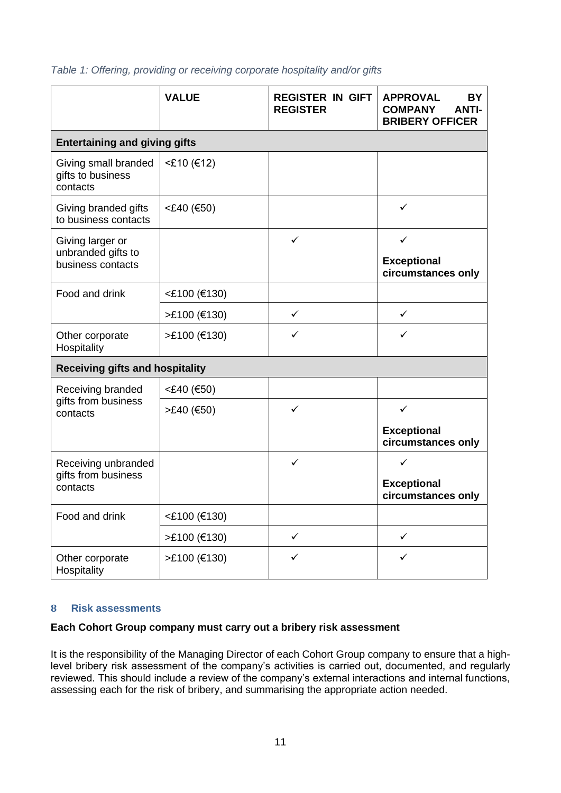|                                                             | <b>VALUE</b> | <b>REGISTER IN GIFT</b><br><b>REGISTER</b> | <b>APPROVAL</b><br><b>BY</b><br><b>COMPANY</b><br><b>ANTI-</b><br><b>BRIBERY OFFICER</b> |  |  |  |  |
|-------------------------------------------------------------|--------------|--------------------------------------------|------------------------------------------------------------------------------------------|--|--|--|--|
| <b>Entertaining and giving gifts</b>                        |              |                                            |                                                                                          |  |  |  |  |
| Giving small branded<br>gifts to business<br>contacts       | <£10 (€12)   |                                            |                                                                                          |  |  |  |  |
| Giving branded gifts<br>to business contacts                | <£40 (€50)   |                                            | $\checkmark$                                                                             |  |  |  |  |
| Giving larger or<br>unbranded gifts to<br>business contacts |              | ✓                                          | $\checkmark$<br><b>Exceptional</b><br>circumstances only                                 |  |  |  |  |
| Food and drink                                              | <£100 (€130) |                                            |                                                                                          |  |  |  |  |
|                                                             | >£100 (€130) | $\checkmark$                               | ✓                                                                                        |  |  |  |  |
| Other corporate<br>Hospitality                              | >£100 (€130) | ✓                                          | ✓                                                                                        |  |  |  |  |
| <b>Receiving gifts and hospitality</b>                      |              |                                            |                                                                                          |  |  |  |  |
| Receiving branded                                           | <£40 (€50)   |                                            |                                                                                          |  |  |  |  |
| gifts from business<br>contacts                             | >£40 (€50)   | ✓                                          | ✓                                                                                        |  |  |  |  |
|                                                             |              |                                            | <b>Exceptional</b><br>circumstances only                                                 |  |  |  |  |
| Receiving unbranded                                         |              | ✓                                          | ✓                                                                                        |  |  |  |  |
| gifts from business<br>contacts                             |              |                                            | <b>Exceptional</b><br>circumstances only                                                 |  |  |  |  |
| Food and drink                                              | <£100 (€130) |                                            |                                                                                          |  |  |  |  |
|                                                             | >£100 (€130) | ✓                                          | $\checkmark$                                                                             |  |  |  |  |
| Other corporate<br>Hospitality                              | >£100 (€130) | ✓                                          | ✓                                                                                        |  |  |  |  |

*Table 1: Offering, providing or receiving corporate hospitality and/or gifts*

#### **8 Risk assessments**

#### **Each Cohort Group company must carry out a bribery risk assessment**

It is the responsibility of the Managing Director of each Cohort Group company to ensure that a highlevel bribery risk assessment of the company's activities is carried out, documented, and regularly reviewed. This should include a review of the company's external interactions and internal functions, assessing each for the risk of bribery, and summarising the appropriate action needed.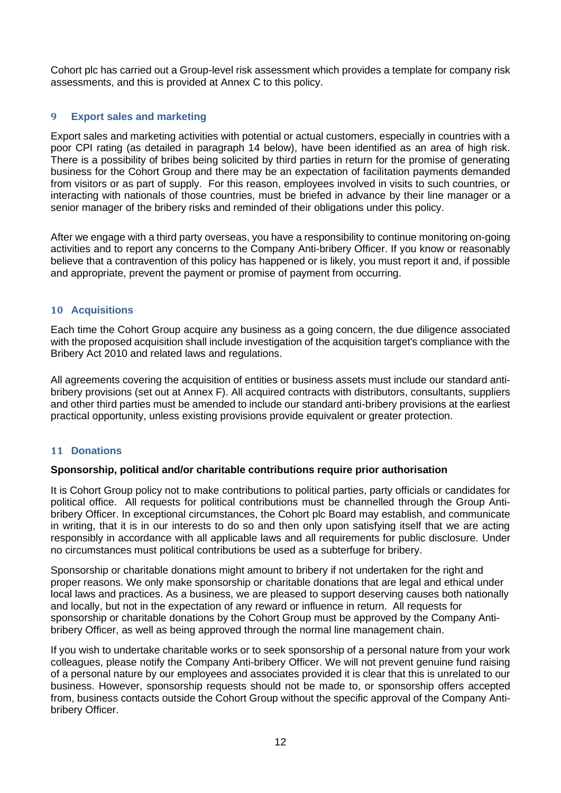Cohort plc has carried out a Group-level risk assessment which provides a template for company risk assessments, and this is provided at Annex C to this policy.

#### **9 Export sales and marketing**

Export sales and marketing activities with potential or actual customers, especially in countries with a poor CPI rating (as detailed in paragraph 14 below), have been identified as an area of high risk. There is a possibility of bribes being solicited by third parties in return for the promise of generating business for the Cohort Group and there may be an expectation of facilitation payments demanded from visitors or as part of supply. For this reason, employees involved in visits to such countries, or interacting with nationals of those countries, must be briefed in advance by their line manager or a senior manager of the bribery risks and reminded of their obligations under this policy.

After we engage with a third party overseas, you have a responsibility to continue monitoring on-going activities and to report any concerns to the Company Anti-bribery Officer. If you know or reasonably believe that a contravention of this policy has happened or is likely, you must report it and, if possible and appropriate, prevent the payment or promise of payment from occurring.

#### **10 Acquisitions**

Each time the Cohort Group acquire any business as a going concern, the due diligence associated with the proposed acquisition shall include investigation of the acquisition target's compliance with the Bribery Act 2010 and related laws and regulations.

All agreements covering the acquisition of entities or business assets must include our standard antibribery provisions (set out at Annex F). All acquired contracts with distributors, consultants, suppliers and other third parties must be amended to include our standard anti-bribery provisions at the earliest practical opportunity, unless existing provisions provide equivalent or greater protection.

#### **11 Donations**

#### **Sponsorship, political and/or charitable contributions require prior authorisation**

It is Cohort Group policy not to make contributions to political parties, party officials or candidates for political office. All requests for political contributions must be channelled through the Group Antibribery Officer. In exceptional circumstances, the Cohort plc Board may establish, and communicate in writing, that it is in our interests to do so and then only upon satisfying itself that we are acting responsibly in accordance with all applicable laws and all requirements for public disclosure. Under no circumstances must political contributions be used as a subterfuge for bribery.

Sponsorship or charitable donations might amount to bribery if not undertaken for the right and proper reasons. We only make sponsorship or charitable donations that are legal and ethical under local laws and practices. As a business, we are pleased to support deserving causes both nationally and locally, but not in the expectation of any reward or influence in return. All requests for sponsorship or charitable donations by the Cohort Group must be approved by the Company Antibribery Officer, as well as being approved through the normal line management chain.

If you wish to undertake charitable works or to seek sponsorship of a personal nature from your work colleagues, please notify the Company Anti-bribery Officer. We will not prevent genuine fund raising of a personal nature by our employees and associates provided it is clear that this is unrelated to our business. However, sponsorship requests should not be made to, or sponsorship offers accepted from, business contacts outside the Cohort Group without the specific approval of the Company Antibribery Officer.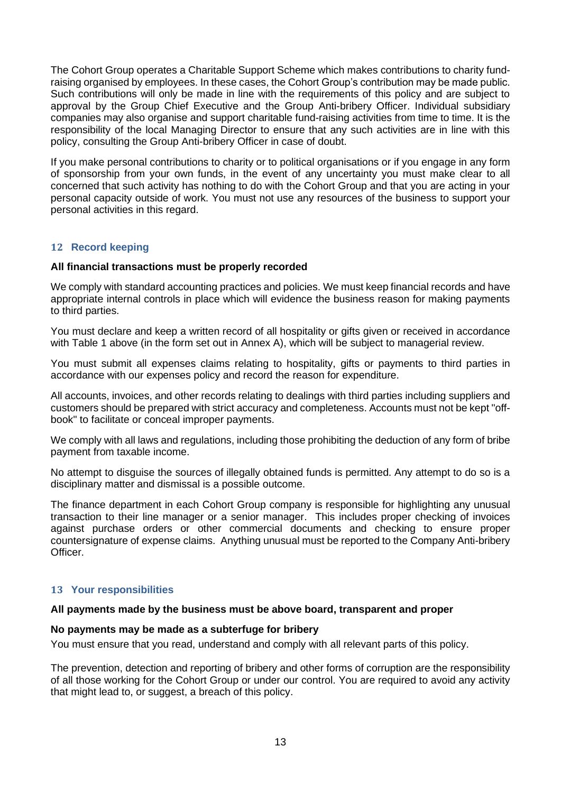The Cohort Group operates a Charitable Support Scheme which makes contributions to charity fundraising organised by employees. In these cases, the Cohort Group's contribution may be made public. Such contributions will only be made in line with the requirements of this policy and are subject to approval by the Group Chief Executive and the Group Anti-bribery Officer. Individual subsidiary companies may also organise and support charitable fund-raising activities from time to time. It is the responsibility of the local Managing Director to ensure that any such activities are in line with this policy, consulting the Group Anti-bribery Officer in case of doubt.

If you make personal contributions to charity or to political organisations or if you engage in any form of sponsorship from your own funds, in the event of any uncertainty you must make clear to all concerned that such activity has nothing to do with the Cohort Group and that you are acting in your personal capacity outside of work. You must not use any resources of the business to support your personal activities in this regard.

#### **12 Record keeping**

#### **All financial transactions must be properly recorded**

We comply with standard accounting practices and policies. We must keep financial records and have appropriate internal controls in place which will evidence the business reason for making payments to third parties.

You must declare and keep a written record of all hospitality or gifts given or received in accordance with Table 1 above (in the form set out in Annex A), which will be subject to managerial review.

You must submit all expenses claims relating to hospitality, gifts or payments to third parties in accordance with our expenses policy and record the reason for expenditure.

All accounts, invoices, and other records relating to dealings with third parties including suppliers and customers should be prepared with strict accuracy and completeness. Accounts must not be kept "offbook" to facilitate or conceal improper payments.

We comply with all laws and regulations, including those prohibiting the deduction of any form of bribe payment from taxable income.

No attempt to disguise the sources of illegally obtained funds is permitted. Any attempt to do so is a disciplinary matter and dismissal is a possible outcome.

The finance department in each Cohort Group company is responsible for highlighting any unusual transaction to their line manager or a senior manager. This includes proper checking of invoices against purchase orders or other commercial documents and checking to ensure proper countersignature of expense claims. Anything unusual must be reported to the Company Anti-bribery Officer.

#### **13 Your responsibilities**

#### **All payments made by the business must be above board, transparent and proper**

#### **No payments may be made as a subterfuge for bribery**

You must ensure that you read, understand and comply with all relevant parts of this policy.

The prevention, detection and reporting of bribery and other forms of corruption are the responsibility of all those working for the Cohort Group or under our control. You are required to avoid any activity that might lead to, or suggest, a breach of this policy.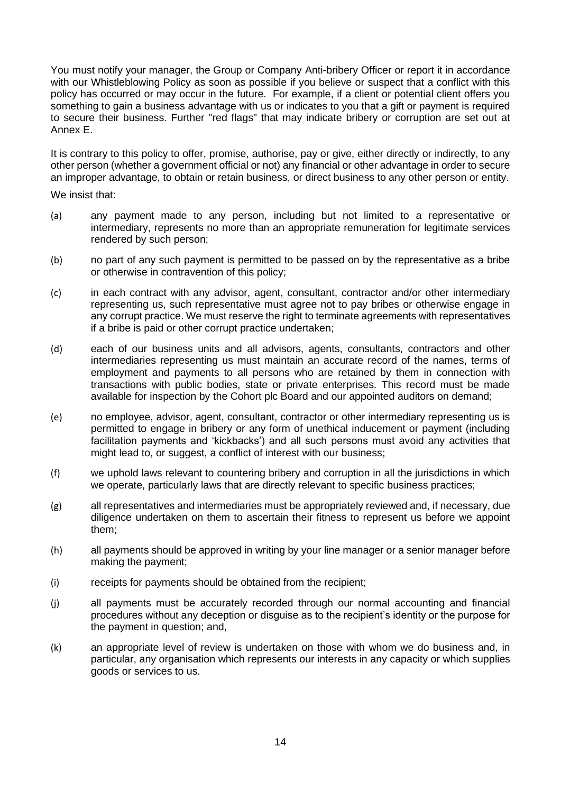You must notify your manager, the Group or Company Anti-bribery Officer or report it in accordance with our Whistleblowing Policy as soon as possible if you believe or suspect that a conflict with this policy has occurred or may occur in the future. For example, if a client or potential client offers you something to gain a business advantage with us or indicates to you that a gift or payment is required to secure their business. Further "red flags" that may indicate bribery or corruption are set out at Annex E.

It is contrary to this policy to offer, promise, authorise, pay or give, either directly or indirectly, to any other person (whether a government official or not) any financial or other advantage in order to secure an improper advantage, to obtain or retain business, or direct business to any other person or entity.

We insist that:

- (a) any payment made to any person, including but not limited to a representative or intermediary, represents no more than an appropriate remuneration for legitimate services rendered by such person;
- (b) no part of any such payment is permitted to be passed on by the representative as a bribe or otherwise in contravention of this policy;
- (c) in each contract with any advisor, agent, consultant, contractor and/or other intermediary representing us, such representative must agree not to pay bribes or otherwise engage in any corrupt practice. We must reserve the right to terminate agreements with representatives if a bribe is paid or other corrupt practice undertaken;
- (d) each of our business units and all advisors, agents, consultants, contractors and other intermediaries representing us must maintain an accurate record of the names, terms of employment and payments to all persons who are retained by them in connection with transactions with public bodies, state or private enterprises. This record must be made available for inspection by the Cohort plc Board and our appointed auditors on demand;
- (e) no employee, advisor, agent, consultant, contractor or other intermediary representing us is permitted to engage in bribery or any form of unethical inducement or payment (including facilitation payments and 'kickbacks') and all such persons must avoid any activities that might lead to, or suggest, a conflict of interest with our business;
- (f) we uphold laws relevant to countering bribery and corruption in all the jurisdictions in which we operate, particularly laws that are directly relevant to specific business practices;
- (g) all representatives and intermediaries must be appropriately reviewed and, if necessary, due diligence undertaken on them to ascertain their fitness to represent us before we appoint them;
- (h) all payments should be approved in writing by your line manager or a senior manager before making the payment;
- (i) receipts for payments should be obtained from the recipient;
- (j) all payments must be accurately recorded through our normal accounting and financial procedures without any deception or disguise as to the recipient's identity or the purpose for the payment in question; and,
- (k) an appropriate level of review is undertaken on those with whom we do business and, in particular, any organisation which represents our interests in any capacity or which supplies goods or services to us.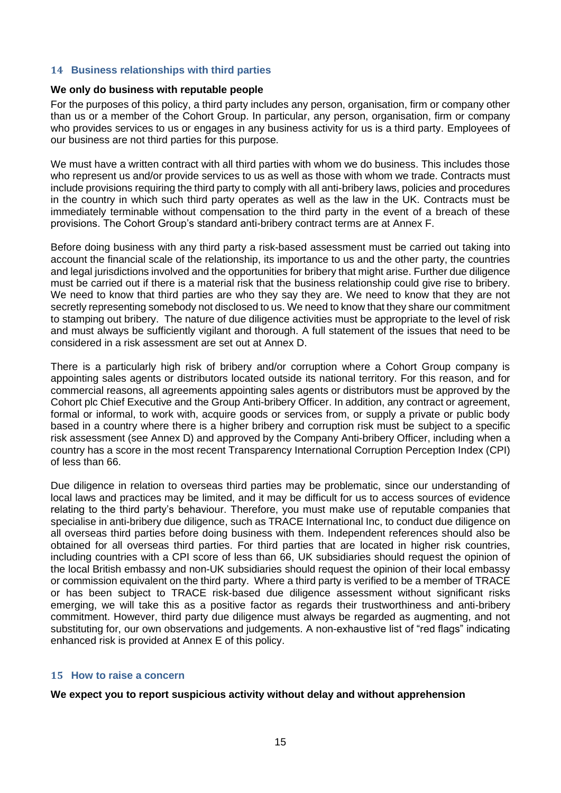#### **14 Business relationships with third parties**

#### **We only do business with reputable people**

For the purposes of this policy, a third party includes any person, organisation, firm or company other than us or a member of the Cohort Group. In particular, any person, organisation, firm or company who provides services to us or engages in any business activity for us is a third party. Employees of our business are not third parties for this purpose.

We must have a written contract with all third parties with whom we do business. This includes those who represent us and/or provide services to us as well as those with whom we trade. Contracts must include provisions requiring the third party to comply with all anti-bribery laws, policies and procedures in the country in which such third party operates as well as the law in the UK. Contracts must be immediately terminable without compensation to the third party in the event of a breach of these provisions. The Cohort Group's standard anti-bribery contract terms are at Annex F.

Before doing business with any third party a risk-based assessment must be carried out taking into account the financial scale of the relationship, its importance to us and the other party, the countries and legal jurisdictions involved and the opportunities for bribery that might arise. Further due diligence must be carried out if there is a material risk that the business relationship could give rise to bribery. We need to know that third parties are who they say they are. We need to know that they are not secretly representing somebody not disclosed to us. We need to know that they share our commitment to stamping out bribery. The nature of due diligence activities must be appropriate to the level of risk and must always be sufficiently vigilant and thorough. A full statement of the issues that need to be considered in a risk assessment are set out at Annex D.

There is a particularly high risk of bribery and/or corruption where a Cohort Group company is appointing sales agents or distributors located outside its national territory. For this reason, and for commercial reasons, all agreements appointing sales agents or distributors must be approved by the Cohort plc Chief Executive and the Group Anti-bribery Officer. In addition, any contract or agreement, formal or informal, to work with, acquire goods or services from, or supply a private or public body based in a country where there is a higher bribery and corruption risk must be subject to a specific risk assessment (see Annex D) and approved by the Company Anti-bribery Officer, including when a country has a score in the most recent Transparency International Corruption Perception Index (CPI) of less than 66.

Due diligence in relation to overseas third parties may be problematic, since our understanding of local laws and practices may be limited, and it may be difficult for us to access sources of evidence relating to the third party's behaviour. Therefore, you must make use of reputable companies that specialise in anti-bribery due diligence, such as TRACE International Inc, to conduct due diligence on all overseas third parties before doing business with them. Independent references should also be obtained for all overseas third parties. For third parties that are located in higher risk countries, including countries with a CPI score of less than 66, UK subsidiaries should request the opinion of the local British embassy and non-UK subsidiaries should request the opinion of their local embassy or commission equivalent on the third party. Where a third party is verified to be a member of TRACE or has been subject to TRACE risk-based due diligence assessment without significant risks emerging, we will take this as a positive factor as regards their trustworthiness and anti-bribery commitment. However, third party due diligence must always be regarded as augmenting, and not substituting for, our own observations and judgements. A non-exhaustive list of "red flags" indicating enhanced risk is provided at Annex E of this policy.

#### **15 How to raise a concern**

#### **We expect you to report suspicious activity without delay and without apprehension**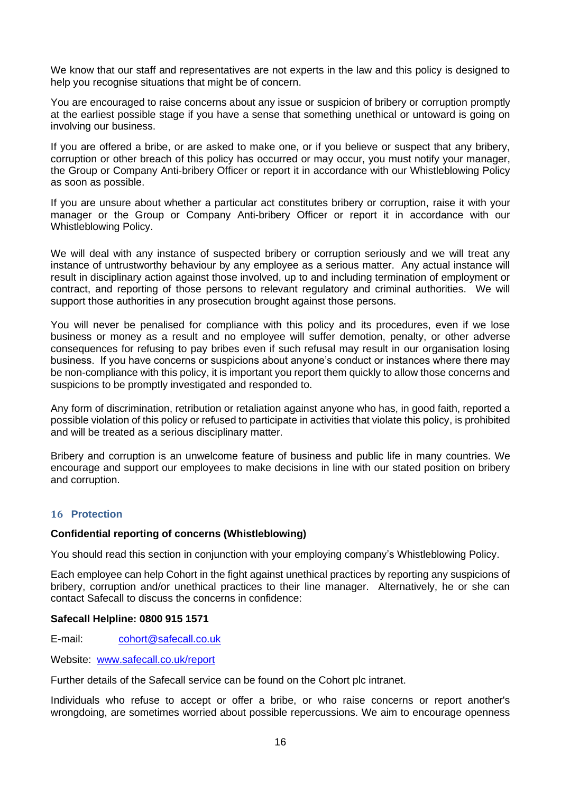We know that our staff and representatives are not experts in the law and this policy is designed to help you recognise situations that might be of concern.

You are encouraged to raise concerns about any issue or suspicion of bribery or corruption promptly at the earliest possible stage if you have a sense that something unethical or untoward is going on involving our business.

If you are offered a bribe, or are asked to make one, or if you believe or suspect that any bribery, corruption or other breach of this policy has occurred or may occur, you must notify your manager, the Group or Company Anti-bribery Officer or report it in accordance with our Whistleblowing Policy as soon as possible.

If you are unsure about whether a particular act constitutes bribery or corruption, raise it with your manager or the Group or Company Anti-bribery Officer or report it in accordance with our Whistleblowing Policy.

We will deal with any instance of suspected bribery or corruption seriously and we will treat any instance of untrustworthy behaviour by any employee as a serious matter. Any actual instance will result in disciplinary action against those involved, up to and including termination of employment or contract, and reporting of those persons to relevant regulatory and criminal authorities. We will support those authorities in any prosecution brought against those persons.

You will never be penalised for compliance with this policy and its procedures, even if we lose business or money as a result and no employee will suffer demotion, penalty, or other adverse consequences for refusing to pay bribes even if such refusal may result in our organisation losing business. If you have concerns or suspicions about anyone's conduct or instances where there may be non-compliance with this policy, it is important you report them quickly to allow those concerns and suspicions to be promptly investigated and responded to.

Any form of discrimination, retribution or retaliation against anyone who has, in good faith, reported a possible violation of this policy or refused to participate in activities that violate this policy, is prohibited and will be treated as a serious disciplinary matter.

Bribery and corruption is an unwelcome feature of business and public life in many countries. We encourage and support our employees to make decisions in line with our stated position on bribery and corruption.

#### **16 Protection**

#### **Confidential reporting of concerns (Whistleblowing)**

You should read this section in conjunction with your employing company's Whistleblowing Policy.

Each employee can help Cohort in the fight against unethical practices by reporting any suspicions of bribery, corruption and/or unethical practices to their line manager. Alternatively, he or she can contact Safecall to discuss the concerns in confidence:

#### **Safecall Helpline: 0800 915 1571**

E-mail: cohort@safecall.co.uk

Website: www.safecall.co.uk/report

Further details of the Safecall service can be found on the Cohort plc intranet.

Individuals who refuse to accept or offer a bribe, or who raise concerns or report another's wrongdoing, are sometimes worried about possible repercussions. We aim to encourage openness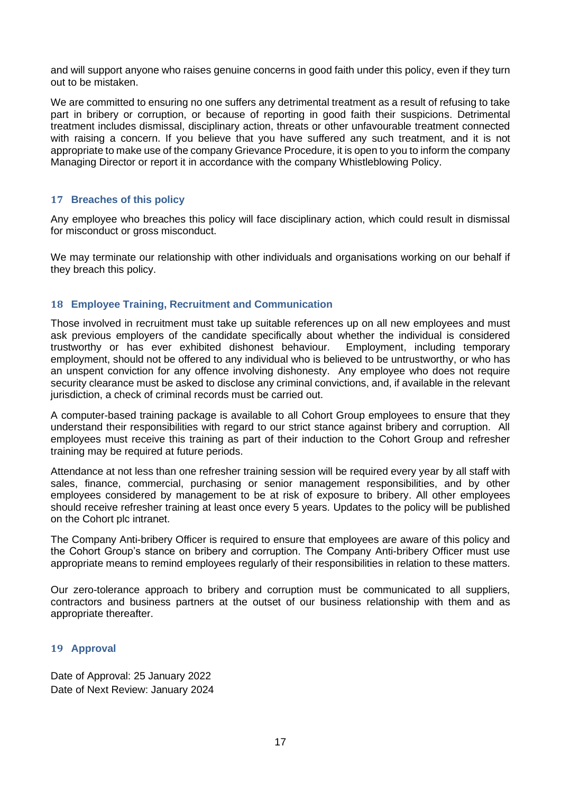and will support anyone who raises genuine concerns in good faith under this policy, even if they turn out to be mistaken.

We are committed to ensuring no one suffers any detrimental treatment as a result of refusing to take part in bribery or corruption, or because of reporting in good faith their suspicions. Detrimental treatment includes dismissal, disciplinary action, threats or other unfavourable treatment connected with raising a concern. If you believe that you have suffered any such treatment, and it is not appropriate to make use of the company Grievance Procedure, it is open to you to inform the company Managing Director or report it in accordance with the company Whistleblowing Policy.

#### **17 Breaches of this policy**

Any employee who breaches this policy will face disciplinary action, which could result in dismissal for misconduct or gross misconduct.

We may terminate our relationship with other individuals and organisations working on our behalf if they breach this policy.

#### **18 Employee Training, Recruitment and Communication**

Those involved in recruitment must take up suitable references up on all new employees and must ask previous employers of the candidate specifically about whether the individual is considered trustworthy or has ever exhibited dishonest behaviour. Employment, including temporary employment, should not be offered to any individual who is believed to be untrustworthy, or who has an unspent conviction for any offence involving dishonesty. Any employee who does not require security clearance must be asked to disclose any criminal convictions, and, if available in the relevant jurisdiction, a check of criminal records must be carried out.

A computer-based training package is available to all Cohort Group employees to ensure that they understand their responsibilities with regard to our strict stance against bribery and corruption. All employees must receive this training as part of their induction to the Cohort Group and refresher training may be required at future periods.

Attendance at not less than one refresher training session will be required every year by all staff with sales, finance, commercial, purchasing or senior management responsibilities, and by other employees considered by management to be at risk of exposure to bribery. All other employees should receive refresher training at least once every 5 years. Updates to the policy will be published on the Cohort plc intranet.

The Company Anti-bribery Officer is required to ensure that employees are aware of this policy and the Cohort Group's stance on bribery and corruption. The Company Anti-bribery Officer must use appropriate means to remind employees regularly of their responsibilities in relation to these matters.

Our zero-tolerance approach to bribery and corruption must be communicated to all suppliers, contractors and business partners at the outset of our business relationship with them and as appropriate thereafter.

#### **19 Approval**

Date of Approval: 25 January 2022 Date of Next Review: January 2024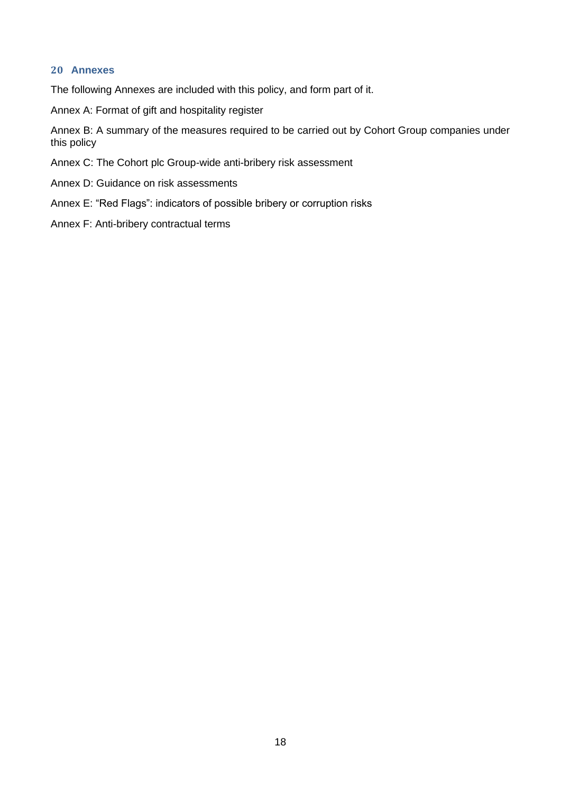#### **20 Annexes**

The following Annexes are included with this policy, and form part of it.

Annex A: Format of gift and hospitality register

Annex B: A summary of the measures required to be carried out by Cohort Group companies under this policy

Annex C: The Cohort plc Group-wide anti-bribery risk assessment

- Annex D: Guidance on risk assessments
- Annex E: "Red Flags": indicators of possible bribery or corruption risks
- Annex F: Anti-bribery contractual terms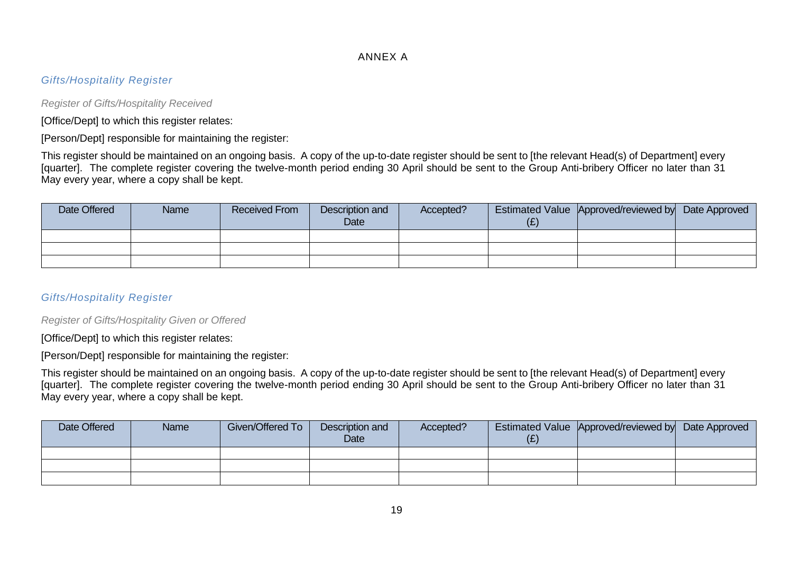#### ANNEX A

#### *Gifts/Hospitality Register*

*Register of Gifts/Hospitality Received*

[Office/Dept] to which this register relates:

[Person/Dept] responsible for maintaining the register:

This register should be maintained on an ongoing basis. A copy of the up-to-date register should be sent to [the relevant Head(s) of Department] every [quarter]. The complete register covering the twelve-month period ending 30 April should be sent to the Group Anti-bribery Officer no later than 31 May every year, where a copy shall be kept.

| Date Offered | Name | <b>Received From</b> | Description and<br>Date | Accepted? | Estimated Value Approved/reviewed by Date Approved |  |
|--------------|------|----------------------|-------------------------|-----------|----------------------------------------------------|--|
|              |      |                      |                         |           |                                                    |  |
|              |      |                      |                         |           |                                                    |  |
|              |      |                      |                         |           |                                                    |  |

#### *Gifts/Hospitality Register*

*Register of Gifts/Hospitality Given or Offered*

[Office/Dept] to which this register relates:

[Person/Dept] responsible for maintaining the register:

This register should be maintained on an ongoing basis. A copy of the up-to-date register should be sent to [the relevant Head(s) of Department] every [quarter]. The complete register covering the twelve-month period ending 30 April should be sent to the Group Anti-bribery Officer no later than 31 May every year, where a copy shall be kept.

| Date Offered | Name | Given/Offered To | Description and<br>Date | Accepted? | Estimated Value Approved/reviewed by Date Approved |  |
|--------------|------|------------------|-------------------------|-----------|----------------------------------------------------|--|
|              |      |                  |                         |           |                                                    |  |
|              |      |                  |                         |           |                                                    |  |
|              |      |                  |                         |           |                                                    |  |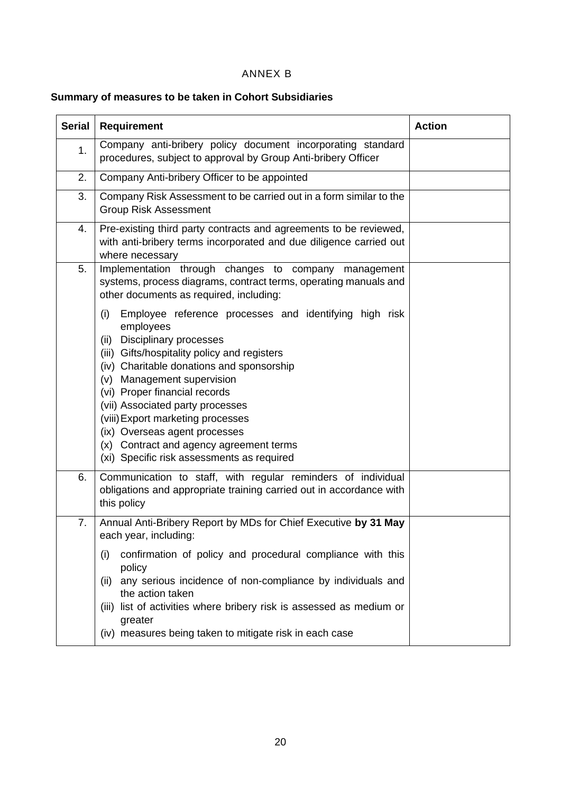## ANNEX B

## **Summary of measures to be taken in Cohort Subsidiaries**

| <b>Serial</b> | <b>Requirement</b>                                                                                                                                                                                                                                                                                                                                                                                                                                                                 | <b>Action</b> |
|---------------|------------------------------------------------------------------------------------------------------------------------------------------------------------------------------------------------------------------------------------------------------------------------------------------------------------------------------------------------------------------------------------------------------------------------------------------------------------------------------------|---------------|
| 1.            | Company anti-bribery policy document incorporating standard<br>procedures, subject to approval by Group Anti-bribery Officer                                                                                                                                                                                                                                                                                                                                                       |               |
| 2.            | Company Anti-bribery Officer to be appointed                                                                                                                                                                                                                                                                                                                                                                                                                                       |               |
| 3.            | Company Risk Assessment to be carried out in a form similar to the<br><b>Group Risk Assessment</b>                                                                                                                                                                                                                                                                                                                                                                                 |               |
| 4.            | Pre-existing third party contracts and agreements to be reviewed,<br>with anti-bribery terms incorporated and due diligence carried out<br>where necessary                                                                                                                                                                                                                                                                                                                         |               |
| 5.            | Implementation through changes to company management<br>systems, process diagrams, contract terms, operating manuals and<br>other documents as required, including:                                                                                                                                                                                                                                                                                                                |               |
|               | Employee reference processes and identifying high risk<br>(i)<br>employees<br><b>Disciplinary processes</b><br>(ii)<br>(iii) Gifts/hospitality policy and registers<br>(iv) Charitable donations and sponsorship<br>(v) Management supervision<br>(vi) Proper financial records<br>(vii) Associated party processes<br>(viii) Export marketing processes<br>(ix) Overseas agent processes<br>(x) Contract and agency agreement terms<br>(xi) Specific risk assessments as required |               |
| 6.            | Communication to staff, with regular reminders of individual<br>obligations and appropriate training carried out in accordance with<br>this policy                                                                                                                                                                                                                                                                                                                                 |               |
| 7.            | Annual Anti-Bribery Report by MDs for Chief Executive by 31 May<br>each year, including:                                                                                                                                                                                                                                                                                                                                                                                           |               |
|               | confirmation of policy and procedural compliance with this<br>(i)<br>policy<br>(ii) any serious incidence of non-compliance by individuals and<br>the action taken<br>(iii) list of activities where bribery risk is assessed as medium or<br>greater<br>(iv) measures being taken to mitigate risk in each case                                                                                                                                                                   |               |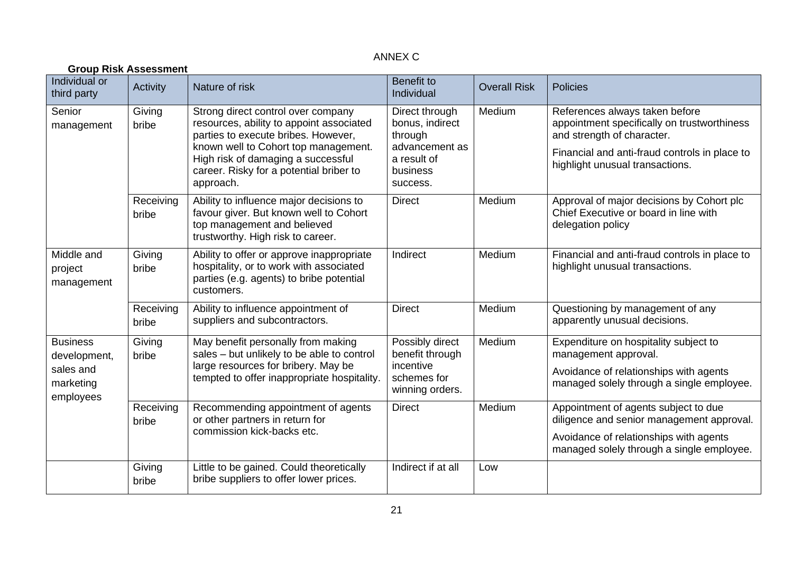## ANNEX C

| <b>Group Risk Assessment</b>        |                    |                                                                                                                                                                                                                                                             |                                                                                                       |                     |                                                                                                                                                                                                 |  |  |  |
|-------------------------------------|--------------------|-------------------------------------------------------------------------------------------------------------------------------------------------------------------------------------------------------------------------------------------------------------|-------------------------------------------------------------------------------------------------------|---------------------|-------------------------------------------------------------------------------------------------------------------------------------------------------------------------------------------------|--|--|--|
| Individual or<br>third party        | Activity           | Nature of risk                                                                                                                                                                                                                                              | <b>Benefit to</b><br>Individual                                                                       | <b>Overall Risk</b> | <b>Policies</b>                                                                                                                                                                                 |  |  |  |
| Senior<br>management                | Giving<br>bribe    | Strong direct control over company<br>resources, ability to appoint associated<br>parties to execute bribes. However,<br>known well to Cohort top management.<br>High risk of damaging a successful<br>career. Risky for a potential briber to<br>approach. | Direct through<br>bonus, indirect<br>through<br>advancement as<br>a result of<br>business<br>success. | Medium              | References always taken before<br>appointment specifically on trustworthiness<br>and strength of character.<br>Financial and anti-fraud controls in place to<br>highlight unusual transactions. |  |  |  |
|                                     | Receiving<br>bribe | Ability to influence major decisions to<br>favour giver. But known well to Cohort<br>top management and believed<br>trustworthy. High risk to career.                                                                                                       | <b>Direct</b>                                                                                         | Medium              | Approval of major decisions by Cohort plc<br>Chief Executive or board in line with<br>delegation policy                                                                                         |  |  |  |
| Middle and<br>project<br>management | Giving<br>bribe    | Ability to offer or approve inappropriate<br>hospitality, or to work with associated<br>parties (e.g. agents) to bribe potential<br>customers.                                                                                                              | Indirect                                                                                              | Medium              | Financial and anti-fraud controls in place to<br>highlight unusual transactions.                                                                                                                |  |  |  |
|                                     | Receiving<br>bribe | Ability to influence appointment of<br>suppliers and subcontractors.                                                                                                                                                                                        | <b>Direct</b>                                                                                         | Medium              | Questioning by management of any<br>apparently unusual decisions.                                                                                                                               |  |  |  |
| <b>Business</b><br>development,     | Giving<br>bribe    | May benefit personally from making<br>sales - but unlikely to be able to control                                                                                                                                                                            | Possibly direct<br>benefit through                                                                    | Medium              | Expenditure on hospitality subject to<br>management approval.                                                                                                                                   |  |  |  |
| sales and<br>marketing<br>employees |                    | large resources for bribery. May be<br>tempted to offer inappropriate hospitality.                                                                                                                                                                          | incentive<br>schemes for<br>winning orders.                                                           |                     | Avoidance of relationships with agents<br>managed solely through a single employee.                                                                                                             |  |  |  |
|                                     | Receiving<br>bribe | Recommending appointment of agents<br>or other partners in return for                                                                                                                                                                                       | <b>Direct</b>                                                                                         | Medium              | Appointment of agents subject to due<br>diligence and senior management approval.                                                                                                               |  |  |  |
|                                     |                    | commission kick-backs etc.                                                                                                                                                                                                                                  |                                                                                                       |                     | Avoidance of relationships with agents<br>managed solely through a single employee.                                                                                                             |  |  |  |
|                                     | Giving<br>bribe    | Little to be gained. Could theoretically<br>bribe suppliers to offer lower prices.                                                                                                                                                                          | Indirect if at all                                                                                    | Low                 |                                                                                                                                                                                                 |  |  |  |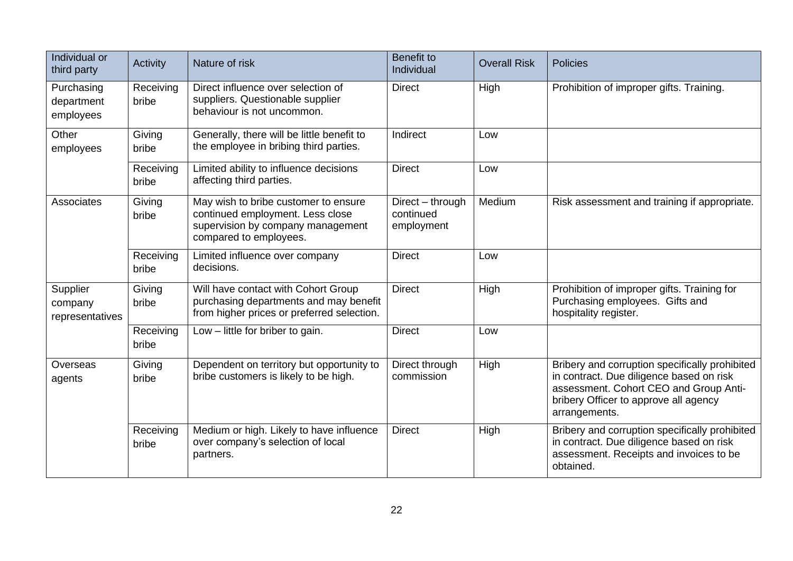| Individual or<br>third party           | Activity           | Nature of risk                                                                                                                          | <b>Benefit to</b><br>Individual             | <b>Overall Risk</b> | <b>Policies</b>                                                                                                                                                                                |
|----------------------------------------|--------------------|-----------------------------------------------------------------------------------------------------------------------------------------|---------------------------------------------|---------------------|------------------------------------------------------------------------------------------------------------------------------------------------------------------------------------------------|
| Purchasing<br>department<br>employees  | Receiving<br>bribe | Direct influence over selection of<br>suppliers. Questionable supplier<br>behaviour is not uncommon.                                    | <b>Direct</b>                               | High                | Prohibition of improper gifts. Training.                                                                                                                                                       |
| Other<br>employees                     | Giving<br>bribe    | Generally, there will be little benefit to<br>the employee in bribing third parties.                                                    | Indirect                                    | Low                 |                                                                                                                                                                                                |
|                                        | Receiving<br>bribe | Limited ability to influence decisions<br>affecting third parties.                                                                      | <b>Direct</b>                               | Low                 |                                                                                                                                                                                                |
| Associates                             | Giving<br>bribe    | May wish to bribe customer to ensure<br>continued employment. Less close<br>supervision by company management<br>compared to employees. | Direct - through<br>continued<br>employment | Medium              | Risk assessment and training if appropriate.                                                                                                                                                   |
|                                        | Receiving<br>bribe | Limited influence over company<br>decisions.                                                                                            | <b>Direct</b>                               | Low                 |                                                                                                                                                                                                |
| Supplier<br>company<br>representatives | Giving<br>bribe    | Will have contact with Cohort Group<br>purchasing departments and may benefit<br>from higher prices or preferred selection.             | <b>Direct</b>                               | High                | Prohibition of improper gifts. Training for<br>Purchasing employees. Gifts and<br>hospitality register.                                                                                        |
|                                        | Receiving<br>bribe | Low $-$ little for briber to gain.                                                                                                      | <b>Direct</b>                               | Low                 |                                                                                                                                                                                                |
| Overseas<br>agents                     | Giving<br>bribe    | Dependent on territory but opportunity to<br>bribe customers is likely to be high.                                                      | Direct through<br>commission                | High                | Bribery and corruption specifically prohibited<br>in contract. Due diligence based on risk<br>assessment. Cohort CEO and Group Anti-<br>bribery Officer to approve all agency<br>arrangements. |
|                                        | Receiving<br>bribe | Medium or high. Likely to have influence<br>over company's selection of local<br>partners.                                              | <b>Direct</b>                               | High                | Bribery and corruption specifically prohibited<br>in contract. Due diligence based on risk<br>assessment. Receipts and invoices to be<br>obtained.                                             |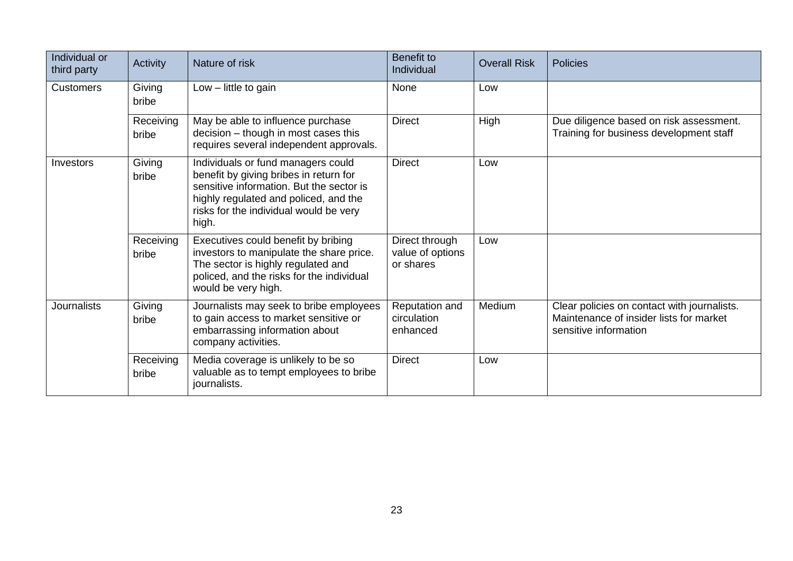| Individual or<br>third party | Activity           | Nature of risk                                                                                                                                                                                                       | <b>Benefit to</b><br>Individual                 | <b>Overall Risk</b> | <b>Policies</b>                                                                                                 |
|------------------------------|--------------------|----------------------------------------------------------------------------------------------------------------------------------------------------------------------------------------------------------------------|-------------------------------------------------|---------------------|-----------------------------------------------------------------------------------------------------------------|
| <b>Customers</b>             | Giving<br>bribe    | Low - little to gain                                                                                                                                                                                                 | None                                            | Low                 |                                                                                                                 |
|                              | Receiving<br>bribe | May be able to influence purchase<br>decision - though in most cases this<br>requires several independent approvals.                                                                                                 | <b>Direct</b>                                   | High                | Due diligence based on risk assessment.<br>Training for business development staff                              |
| Investors                    | Giving<br>bribe    | Individuals or fund managers could<br>benefit by giving bribes in return for<br>sensitive information. But the sector is<br>highly regulated and policed, and the<br>risks for the individual would be very<br>high. | <b>Direct</b>                                   | Low                 |                                                                                                                 |
|                              | Receiving<br>bribe | Executives could benefit by bribing<br>investors to manipulate the share price.<br>The sector is highly regulated and<br>policed, and the risks for the individual<br>would be very high.                            | Direct through<br>value of options<br>or shares | Low                 |                                                                                                                 |
| <b>Journalists</b>           | Giving<br>bribe    | Journalists may seek to bribe employees<br>to gain access to market sensitive or<br>embarrassing information about<br>company activities.                                                                            | Reputation and<br>circulation<br>enhanced       | Medium              | Clear policies on contact with journalists.<br>Maintenance of insider lists for market<br>sensitive information |
|                              | Receiving<br>bribe | Media coverage is unlikely to be so<br>valuable as to tempt employees to bribe<br>journalists.                                                                                                                       | <b>Direct</b>                                   | Low                 |                                                                                                                 |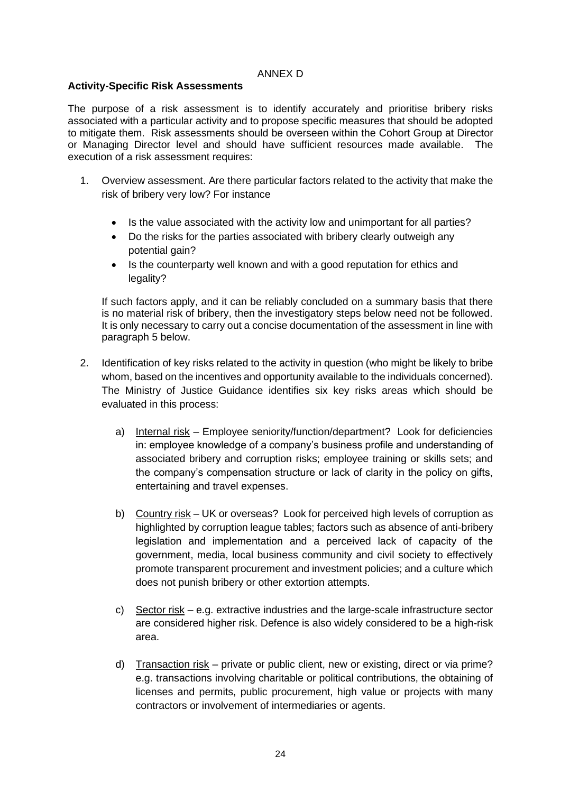#### ANNEX D

#### **Activity-Specific Risk Assessments**

The purpose of a risk assessment is to identify accurately and prioritise bribery risks associated with a particular activity and to propose specific measures that should be adopted to mitigate them. Risk assessments should be overseen within the Cohort Group at Director or Managing Director level and should have sufficient resources made available. The execution of a risk assessment requires:

- 1. Overview assessment. Are there particular factors related to the activity that make the risk of bribery very low? For instance
	- Is the value associated with the activity low and unimportant for all parties?
	- Do the risks for the parties associated with bribery clearly outweigh any potential gain?
	- Is the counterparty well known and with a good reputation for ethics and legality?

If such factors apply, and it can be reliably concluded on a summary basis that there is no material risk of bribery, then the investigatory steps below need not be followed. It is only necessary to carry out a concise documentation of the assessment in line with paragraph 5 below.

- 2. Identification of key risks related to the activity in question (who might be likely to bribe whom, based on the incentives and opportunity available to the individuals concerned). The Ministry of Justice Guidance identifies six key risks areas which should be evaluated in this process:
	- a) Internal risk Employee seniority/function/department? Look for deficiencies in: employee knowledge of a company's business profile and understanding of associated bribery and corruption risks; employee training or skills sets; and the company's compensation structure or lack of clarity in the policy on gifts, entertaining and travel expenses.
	- b) Country risk UK or overseas? Look for perceived high levels of corruption as highlighted by corruption league tables; factors such as absence of anti-bribery legislation and implementation and a perceived lack of capacity of the government, media, local business community and civil society to effectively promote transparent procurement and investment policies; and a culture which does not punish bribery or other extortion attempts.
	- c) Sector risk e.g. extractive industries and the large-scale infrastructure sector are considered higher risk. Defence is also widely considered to be a high-risk area.
	- d) Transaction risk private or public client, new or existing, direct or via prime? e.g. transactions involving charitable or political contributions, the obtaining of licenses and permits, public procurement, high value or projects with many contractors or involvement of intermediaries or agents.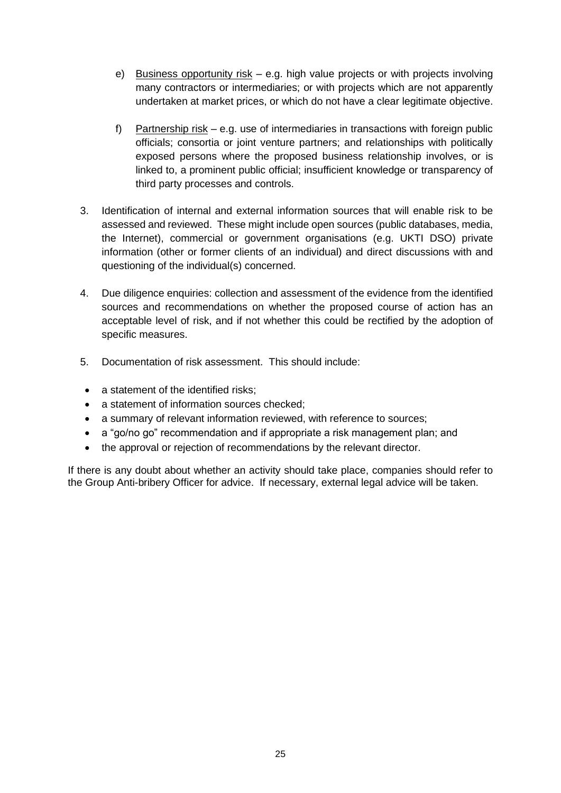- e) Business opportunity risk e.g. high value projects or with projects involving many contractors or intermediaries; or with projects which are not apparently undertaken at market prices, or which do not have a clear legitimate objective.
- f) Partnership risk e.g. use of intermediaries in transactions with foreign public officials; consortia or joint venture partners; and relationships with politically exposed persons where the proposed business relationship involves, or is linked to, a prominent public official; insufficient knowledge or transparency of third party processes and controls.
- 3. Identification of internal and external information sources that will enable risk to be assessed and reviewed. These might include open sources (public databases, media, the Internet), commercial or government organisations (e.g. UKTI DSO) private information (other or former clients of an individual) and direct discussions with and questioning of the individual(s) concerned.
- 4. Due diligence enquiries: collection and assessment of the evidence from the identified sources and recommendations on whether the proposed course of action has an acceptable level of risk, and if not whether this could be rectified by the adoption of specific measures.
- 5. Documentation of risk assessment. This should include:
- a statement of the identified risks:
- a statement of information sources checked;
- a summary of relevant information reviewed, with reference to sources;
- a "go/no go" recommendation and if appropriate a risk management plan; and
- the approval or rejection of recommendations by the relevant director.

If there is any doubt about whether an activity should take place, companies should refer to the Group Anti-bribery Officer for advice. If necessary, external legal advice will be taken.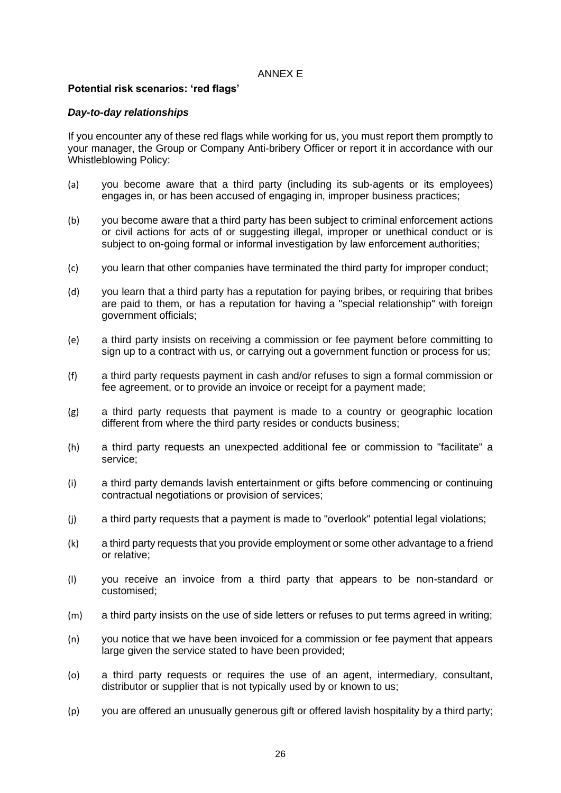#### ANNEX E

#### **Potential risk scenarios: 'red flags'**

#### *Day-to-day relationships*

If you encounter any of these red flags while working for us, you must report them promptly to your manager, the Group or Company Anti-bribery Officer or report it in accordance with our Whistleblowing Policy:

- (a) you become aware that a third party (including its sub-agents or its employees) engages in, or has been accused of engaging in, improper business practices;
- (b) you become aware that a third party has been subject to criminal enforcement actions or civil actions for acts of or suggesting illegal, improper or unethical conduct or is subject to on-going formal or informal investigation by law enforcement authorities;
- (c) you learn that other companies have terminated the third party for improper conduct;
- (d) you learn that a third party has a reputation for paying bribes, or requiring that bribes are paid to them, or has a reputation for having a "special relationship" with foreign government officials;
- (e) a third party insists on receiving a commission or fee payment before committing to sign up to a contract with us, or carrying out a government function or process for us;
- (f) a third party requests payment in cash and/or refuses to sign a formal commission or fee agreement, or to provide an invoice or receipt for a payment made;
- (g) a third party requests that payment is made to a country or geographic location different from where the third party resides or conducts business;
- (h) a third party requests an unexpected additional fee or commission to "facilitate" a service;
- (i) a third party demands lavish entertainment or gifts before commencing or continuing contractual negotiations or provision of services;
- (j) a third party requests that a payment is made to "overlook" potential legal violations;
- (k) a third party requests that you provide employment or some other advantage to a friend or relative;
- (l) you receive an invoice from a third party that appears to be non-standard or customised;
- (m) a third party insists on the use of side letters or refuses to put terms agreed in writing;
- (n) you notice that we have been invoiced for a commission or fee payment that appears large given the service stated to have been provided;
- (o) a third party requests or requires the use of an agent, intermediary, consultant, distributor or supplier that is not typically used by or known to us;
- (p) you are offered an unusually generous gift or offered lavish hospitality by a third party;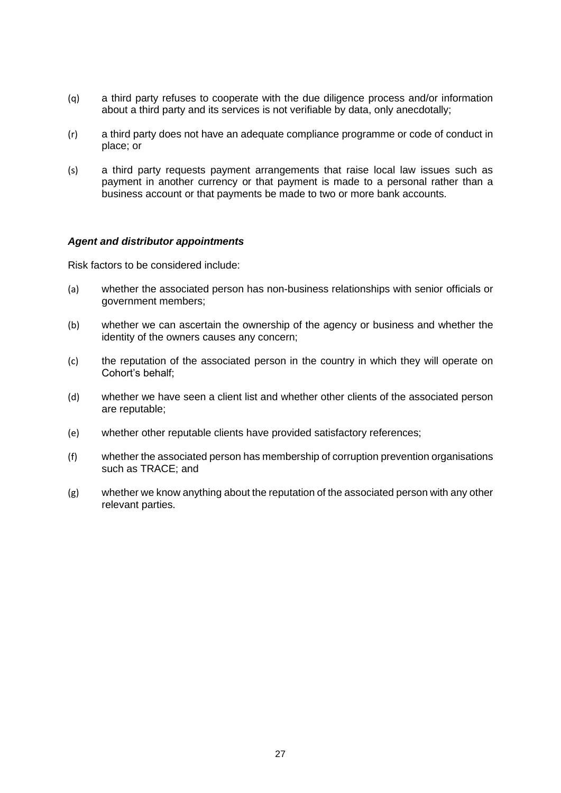- (q) a third party refuses to cooperate with the due diligence process and/or information about a third party and its services is not verifiable by data, only anecdotally;
- (r) a third party does not have an adequate compliance programme or code of conduct in place; or
- (s) a third party requests payment arrangements that raise local law issues such as payment in another currency or that payment is made to a personal rather than a business account or that payments be made to two or more bank accounts.

#### *Agent and distributor appointments*

Risk factors to be considered include:

- (a) whether the associated person has non-business relationships with senior officials or government members;
- (b) whether we can ascertain the ownership of the agency or business and whether the identity of the owners causes any concern;
- (c) the reputation of the associated person in the country in which they will operate on Cohort's behalf;
- (d) whether we have seen a client list and whether other clients of the associated person are reputable;
- (e) whether other reputable clients have provided satisfactory references;
- (f) whether the associated person has membership of corruption prevention organisations such as TRACE; and
- (g) whether we know anything about the reputation of the associated person with any other relevant parties.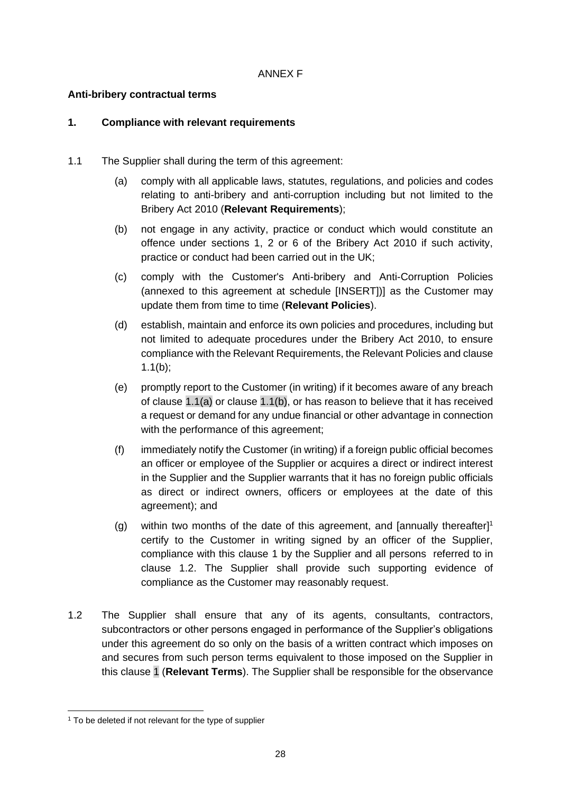#### ANNEX F

#### **Anti-bribery contractual terms**

#### <span id="page-27-2"></span>**1. Compliance with relevant requirements**

- <span id="page-27-1"></span><span id="page-27-0"></span>1.1 The Supplier shall during the term of this agreement:
	- (a) comply with all applicable laws, statutes, regulations, and policies and codes relating to anti-bribery and anti-corruption including but not limited to the Bribery Act 2010 (**Relevant Requirements**);
	- (b) not engage in any activity, practice or conduct which would constitute an offence under sections 1, 2 or 6 of the Bribery Act 2010 if such activity, practice or conduct had been carried out in the UK;
	- (c) comply with the Customer's Anti-bribery and Anti-Corruption Policies (annexed to this agreement at schedule [INSERT])] as the Customer may update them from time to time (**Relevant Policies**).
	- (d) establish, maintain and enforce its own policies and procedures, including but not limited to adequate procedures under the Bribery Act 2010, to ensure compliance with the Relevant Requirements, the Relevant Policies and clause [1.1\(b\);](#page-27-0)
	- (e) promptly report to the Customer (in writing) if it becomes aware of any breach of clause  $1.1(a)$  or clause  $1.1(b)$ , or has reason to believe that it has received a request or demand for any undue financial or other advantage in connection with the performance of this agreement;
	- (f) immediately notify the Customer (in writing) if a foreign public official becomes an officer or employee of the Supplier or acquires a direct or indirect interest in the Supplier and the Supplier warrants that it has no foreign public officials as direct or indirect owners, officers or employees at the date of this agreement); and
	- (g) within two months of the date of this agreement, and [annually thereafter] 1 certify to the Customer in writing signed by an officer of the Supplier, compliance with this clause [1](#page-27-2) by the Supplier and all persons referred to in clause [1.2.](#page-27-3) The Supplier shall provide such supporting evidence of compliance as the Customer may reasonably request.
- <span id="page-27-3"></span>1.2 The Supplier shall ensure that any of its agents, consultants, contractors, subcontractors or other persons engaged in performance of the Supplier's obligations under this agreement do so only on the basis of a written contract which imposes on and secures from such person terms equivalent to those imposed on the Supplier in this clause [1](#page-27-2) (**Relevant Terms**). The Supplier shall be responsible for the observance

<sup>&</sup>lt;sup>1</sup> To be deleted if not relevant for the type of supplier